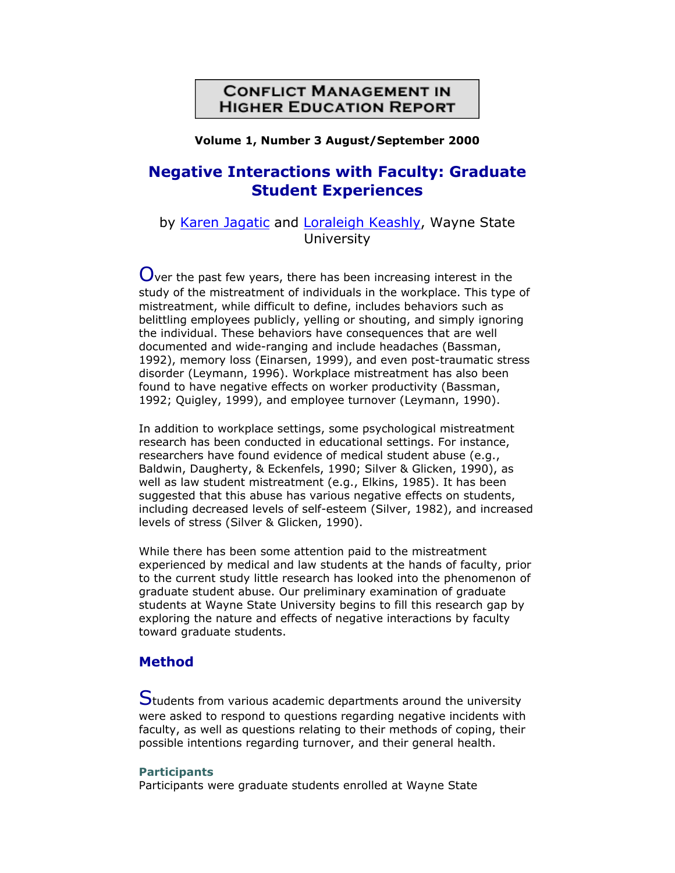# **CONFLICT MANAGEMENT IN HIGHER EDUCATION REPORT**

#### **Volume 1, Number 3 August/September 2000**

# **Negative Interactions with Faculty: Graduate Student Experiences**

# by [Karen Jagatic](http://www.campus-adr.org/CMHER/ReportArticles/Edition1_3/) and [Loraleigh Keashly,](http://www.campus-adr.org/CMHER/ReportArticles/Edition1_3/) Wayne State **University**

 $\mathbf 0$ ver the past few years, there has been increasing interest in the study of the mistreatment of individuals in the workplace. This type of mistreatment, while difficult to define, includes behaviors such as belittling employees publicly, yelling or shouting, and simply ignoring the individual. These behaviors have consequences that are well documented and wide-ranging and include headaches (Bassman, 1992), memory loss (Einarsen, 1999), and even post-traumatic stress disorder (Leymann, 1996). Workplace mistreatment has also been found to have negative effects on worker productivity (Bassman, 1992; Quigley, 1999), and employee turnover (Leymann, 1990).

In addition to workplace settings, some psychological mistreatment research has been conducted in educational settings. For instance, researchers have found evidence of medical student abuse (e.g., Baldwin, Daugherty, & Eckenfels, 1990; Silver & Glicken, 1990), as well as law student mistreatment (e.g., Elkins, 1985). It has been suggested that this abuse has various negative effects on students, including decreased levels of self-esteem (Silver, 1982), and increased levels of stress (Silver & Glicken, 1990).

While there has been some attention paid to the mistreatment experienced by medical and law students at the hands of faculty, prior to the current study little research has looked into the phenomenon of graduate student abuse. Our preliminary examination of graduate students at Wayne State University begins to fill this research gap by exploring the nature and effects of negative interactions by faculty toward graduate students.

## **Method**

Students from various academic departments around the university were asked to respond to questions regarding negative incidents with faculty, as well as questions relating to their methods of coping, their possible intentions regarding turnover, and their general health.

#### **Participants**

Participants were graduate students enrolled at Wayne State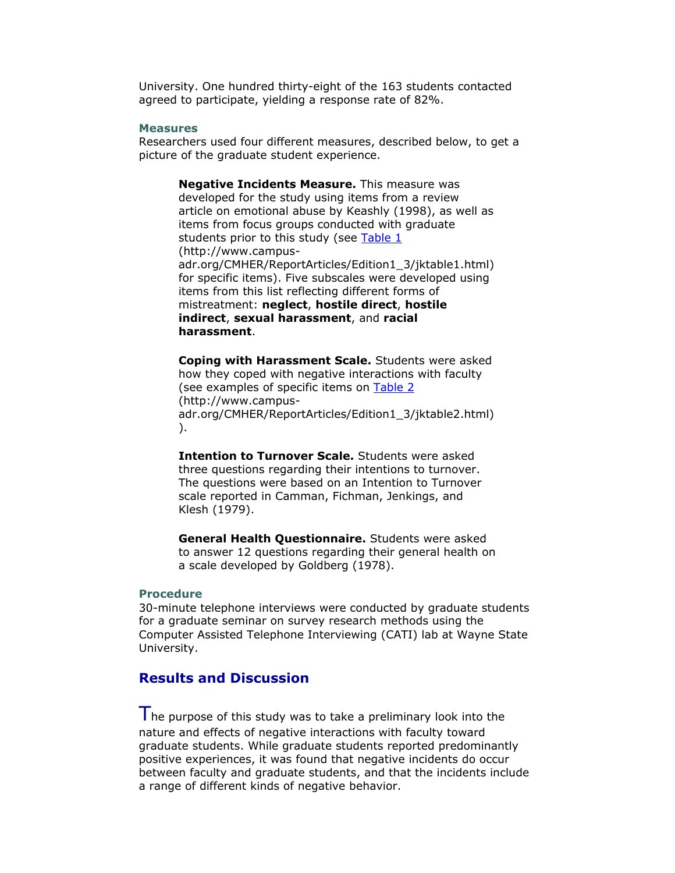University. One hundred thirty-eight of the 163 students contacted agreed to participate, yielding a response rate of 82%.

#### **Measures**

Researchers used four different measures, described below, to get a picture of the graduate student experience.

**Negative Incidents Measure.** This measure was developed for the study using items from a review article on emotional abuse by Keashly (1998), as well as items from focus groups conducted with graduate students prior to this study (see [Table 1](http://www.campus-adr.org/CMHER/ReportArticles/Edition1_3/jktable1.html) (http://www.campusadr.org/CMHER/ReportArticles/Edition1\_3/jktable1.html) for specific items). Five subscales were developed using items from this list reflecting different forms of mistreatment: **neglect**, **hostile direct**, **hostile indirect**, **sexual harassment**, and **racial harassment**.

**Coping with Harassment Scale.** Students were asked how they coped with negative interactions with faculty (see examples of specific items on [Table 2](http://www.campus-adr.org/CMHER/ReportArticles/Edition1_3/jktable2.html) (http://www.campusadr.org/CMHER/ReportArticles/Edition1\_3/jktable2.html) ).

**Intention to Turnover Scale.** Students were asked three questions regarding their intentions to turnover. The questions were based on an Intention to Turnover scale reported in Camman, Fichman, Jenkings, and Klesh (1979).

**General Health Questionnaire.** Students were asked to answer 12 questions regarding their general health on a scale developed by Goldberg (1978).

#### **Procedure**

30-minute telephone interviews were conducted by graduate students for a graduate seminar on survey research methods using the Computer Assisted Telephone Interviewing (CATI) lab at Wayne State University.

### **Results and Discussion**

The purpose of this study was to take a preliminary look into the nature and effects of negative interactions with faculty toward graduate students. While graduate students reported predominantly positive experiences, it was found that negative incidents do occur between faculty and graduate students, and that the incidents include a range of different kinds of negative behavior.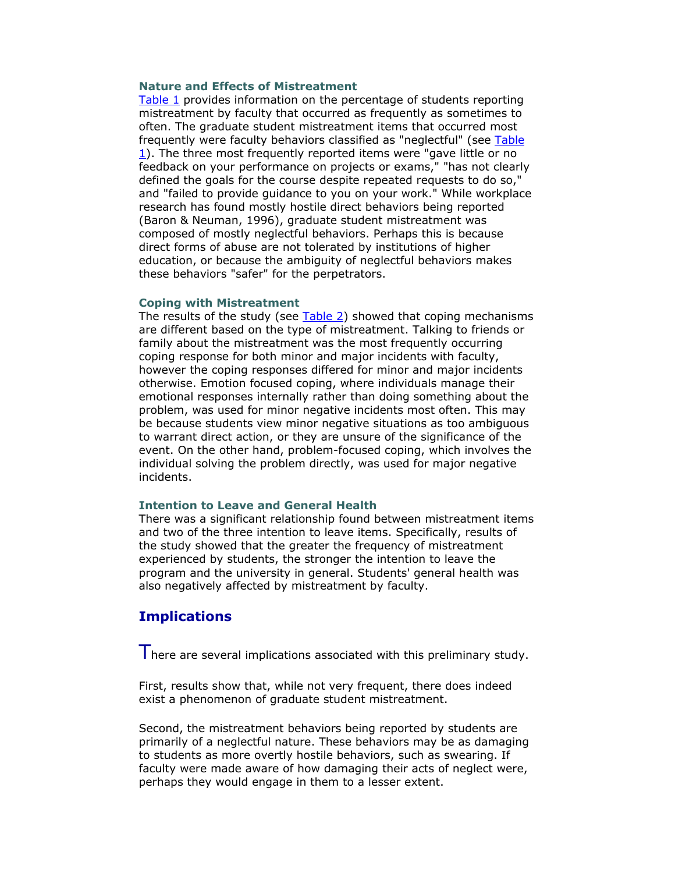#### **Nature and Effects of Mistreatment**

[Table 1](http://www.campus-adr.org/CMHER/ReportArticles/Edition1_3/jktable1.html) provides information on the percentage of students reporting mistreatment by faculty that occurred as frequently as sometimes to often. The graduate student mistreatment items that occurred most frequently were faculty behaviors classified as "neglectful" (see Table [1](http://www.campus-adr.org/CMHER/ReportArticles/Edition1_3/jktable1.html)). The three most frequently reported items were "gave little or no feedback on your performance on projects or exams," "has not clearly defined the goals for the course despite repeated requests to do so," and "failed to provide guidance to you on your work." While workplace research has found mostly hostile direct behaviors being reported (Baron & Neuman, 1996), graduate student mistreatment was composed of mostly neglectful behaviors. Perhaps this is because direct forms of abuse are not tolerated by institutions of higher education, or because the ambiguity of neglectful behaviors makes these behaviors "safer" for the perpetrators.

#### **Coping with Mistreatment**

The results of the study (see [Table 2\)](http://www.campus-adr.org/CMHER/ReportArticles/Edition1_3/jktable2.html) showed that coping mechanisms are different based on the type of mistreatment. Talking to friends or family about the mistreatment was the most frequently occurring coping response for both minor and major incidents with faculty, however the coping responses differed for minor and major incidents otherwise. Emotion focused coping, where individuals manage their emotional responses internally rather than doing something about the problem, was used for minor negative incidents most often. This may be because students view minor negative situations as too ambiguous to warrant direct action, or they are unsure of the significance of the event. On the other hand, problem-focused coping, which involves the individual solving the problem directly, was used for major negative incidents.

#### **Intention to Leave and General Health**

There was a significant relationship found between mistreatment items and two of the three intention to leave items. Specifically, results of the study showed that the greater the frequency of mistreatment experienced by students, the stronger the intention to leave the program and the university in general. Students' general health was also negatively affected by mistreatment by faculty.

### **Implications**

I here are several implications associated with this preliminary study.

First, results show that, while not very frequent, there does indeed exist a phenomenon of graduate student mistreatment.

Second, the mistreatment behaviors being reported by students are primarily of a neglectful nature. These behaviors may be as damaging to students as more overtly hostile behaviors, such as swearing. If faculty were made aware of how damaging their acts of neglect were, perhaps they would engage in them to a lesser extent.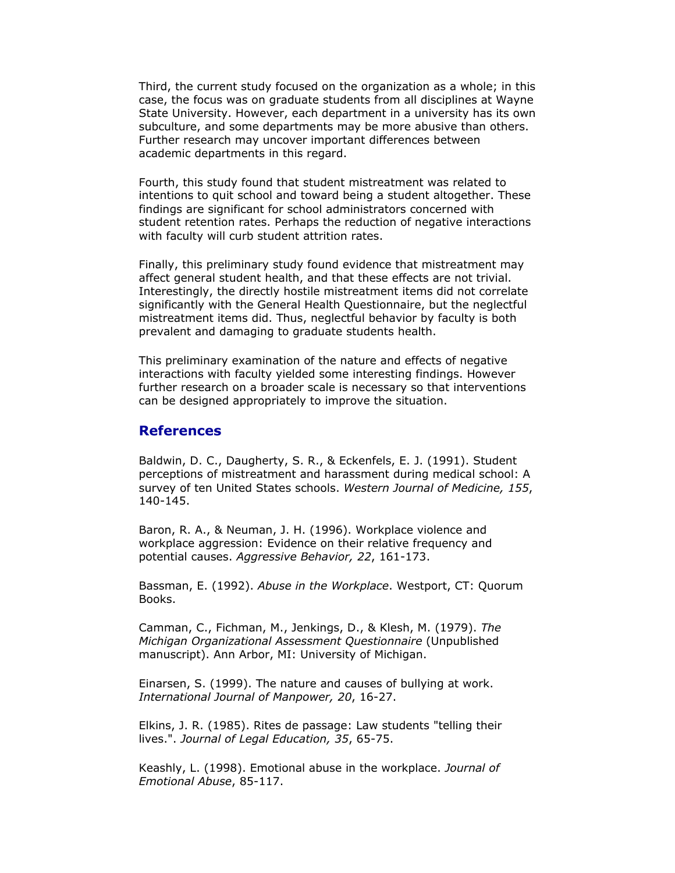Third, the current study focused on the organization as a whole; in this case, the focus was on graduate students from all disciplines at Wayne State University. However, each department in a university has its own subculture, and some departments may be more abusive than others. Further research may uncover important differences between academic departments in this regard.

Fourth, this study found that student mistreatment was related to intentions to quit school and toward being a student altogether. These findings are significant for school administrators concerned with student retention rates. Perhaps the reduction of negative interactions with faculty will curb student attrition rates.

Finally, this preliminary study found evidence that mistreatment may affect general student health, and that these effects are not trivial. Interestingly, the directly hostile mistreatment items did not correlate significantly with the General Health Questionnaire, but the neglectful mistreatment items did. Thus, neglectful behavior by faculty is both prevalent and damaging to graduate students health.

This preliminary examination of the nature and effects of negative interactions with faculty yielded some interesting findings. However further research on a broader scale is necessary so that interventions can be designed appropriately to improve the situation.

### **References**

Baldwin, D. C., Daugherty, S. R., & Eckenfels, E. J. (1991). Student perceptions of mistreatment and harassment during medical school: A survey of ten United States schools. *Western Journal of Medicine, 155*, 140-145.

Baron, R. A., & Neuman, J. H. (1996). Workplace violence and workplace aggression: Evidence on their relative frequency and potential causes. *Aggressive Behavior, 22*, 161-173.

Bassman, E. (1992). *Abuse in the Workplace*. Westport, CT: Quorum Books.

Camman, C., Fichman, M., Jenkings, D., & Klesh, M. (1979). *The Michigan Organizational Assessment Questionnaire* (Unpublished manuscript). Ann Arbor, MI: University of Michigan.

Einarsen, S. (1999). The nature and causes of bullying at work. *International Journal of Manpower, 20*, 16-27.

Elkins, J. R. (1985). Rites de passage: Law students "telling their lives.". *Journal of Legal Education, 35*, 65-75.

Keashly, L. (1998). Emotional abuse in the workplace. *Journal of Emotional Abuse*, 85-117.